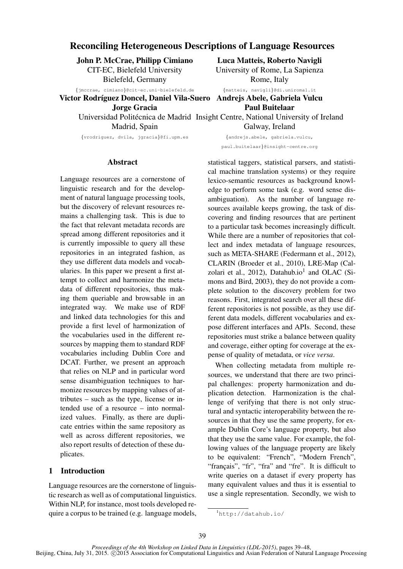# Reconciling Heterogeneous Descriptions of Language Resources

John P. McCrae, Philipp Cimiano CIT-EC, Bielefeld University Bielefeld, Germany

{jmccrae, cimiano}@cit-ec.uni-bielefeld.de

Victor Rodríguez Doncel, Daniel Vila-Suero Andrejs Abele, Gabriela Vulcu Jorge Gracia

Madrid, Spain

{vrodriguez, dvila, jgracia}@fi.upm.es

Luca Matteis, Roberto Navigli University of Rome, La Sapienza Rome, Italy

{matteis, navigli}@di.uniroma1.it

{andrejs.abele, gabriela.vulcu,

Paul Buitelaar

Universidad Politécnica de Madrid Insight Centre, National University of Ireland Galway, Ireland

paul.buitelaar}@insight-centre.org

## Abstract

Language resources are a cornerstone of linguistic research and for the development of natural language processing tools, but the discovery of relevant resources remains a challenging task. This is due to the fact that relevant metadata records are spread among different repositories and it is currently impossible to query all these repositories in an integrated fashion, as they use different data models and vocabularies. In this paper we present a first attempt to collect and harmonize the metadata of different repositories, thus making them queriable and browsable in an integrated way. We make use of RDF and linked data technologies for this and provide a first level of harmonization of the vocabularies used in the different resources by mapping them to standard RDF vocabularies including Dublin Core and DCAT. Further, we present an approach that relies on NLP and in particular word sense disambiguation techniques to harmonize resources by mapping values of attributes – such as the type, license or intended use of a resource – into normalized values. Finally, as there are duplicate entries within the same repository as well as across different repositories, we also report results of detection of these duplicates.

## 1 Introduction

Language resources are the cornerstone of linguistic research as well as of computational linguistics. Within NLP, for instance, most tools developed require a corpus to be trained (e.g. language models, statistical taggers, statistical parsers, and statistical machine translation systems) or they require lexico-semantic resources as background knowledge to perform some task (e.g. word sense disambiguation). As the number of language resources available keeps growing, the task of discovering and finding resources that are pertinent to a particular task becomes increasingly difficult. While there are a number of repositories that collect and index metadata of language resources, such as META-SHARE (Federmann et al., 2012), CLARIN (Broeder et al., 2010), LRE-Map (Calzolari et al., 2012), Datahub.io<sup>1</sup> and OLAC (Simons and Bird, 2003), they do not provide a complete solution to the discovery problem for two reasons. First, integrated search over all these different repositories is not possible, as they use different data models, different vocabularies and expose different interfaces and APIs. Second, these repositories must strike a balance between quality and coverage, either opting for coverage at the expense of quality of metadata, or *vice versa*.

When collecting metadata from multiple resources, we understand that there are two principal challenges: property harmonization and duplication detection. Harmonization is the challenge of verifying that there is not only structural and syntactic interoperability between the resources in that they use the same property, for example Dublin Core's language property, but also that they use the same value. For example, the following values of the language property are likely to be equivalent: "French", "Modern French", "français", "fr", "fra" and "fre". It is difficult to write queries on a dataset if every property has many equivalent values and thus it is essential to use a single representation. Secondly, we wish to

<sup>1</sup>http://datahub.io/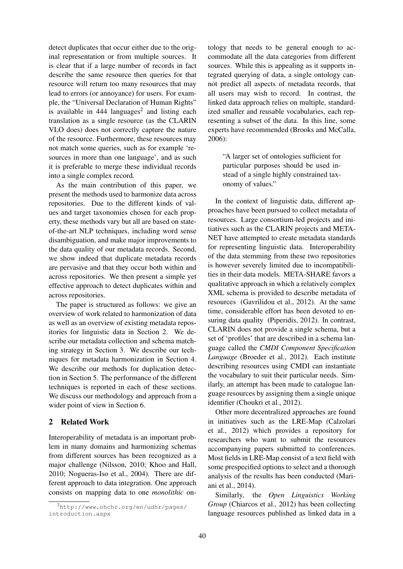detect duplicates that occur either due to the original representation or from multiple sources. It is clear that if a large number of records in fact describe the same resource then queries for that resource will return too many resources that may lead to errors (or annoyance) for users. For example, the "Universal Declaration of Human Rights" is available in  $444$  languages<sup>2</sup> and listing each translation as a single resource (as the CLARIN VLO does) does not correctly capture the nature of the resource. Furthermore, these resources may not match some queries, such as for example 'resources in more than one language', and as such it is preferable to merge these individual records into a single complex record.

As the main contribution of this paper, we present the methods used to harmonize data across repositories. Due to the different kinds of values and target taxonomies chosen for each property, these methods vary but all are based on stateof-the-art NLP techniques, including word sense disambiguation, and make major improvements to the data quality of our metadata records. Second, we show indeed that duplicate metadata records are pervasive and that they occur both within and across repositories. We then present a simple yet effective approach to detect duplicates within and across repositories.

The paper is structured as follows: we give an overview of work related to harmonization of data as well as an overview of existing metadata repositories for linguistic data in Section 2. We describe our metadata collection and schema matching strategy in Section 3. We describe our techniques for metadata harmonization in Section 4. We describe our methods for duplication detection in Section 5. The performance of the different techniques is reported in each of these sections. We discuss our methodology and approach from a wider point of view in Section 6.

### 2 Related Work

Interoperability of metadata is an important problem in many domains and harmonizing schemas from different sources has been recognized as a major challenge (Nilsson, 2010; Khoo and Hall, 2010; Nogueras-Iso et al., 2004). There are different approach to data integration. One approach consists on mapping data to one *monolithic* ontology that needs to be general enough to accommodate all the data categories from different sources. While this is appealing as it supports integrated querying of data, a single ontology cannot predict all aspects of metadata records, that all users may wish to record. In contrast, the linked data approach relies on multiple, standardized smaller and reusable vocabularies, each representing a subset of the data. In this line, some experts have recommended (Brooks and McCalla, 2006):

"A larger set of ontologies sufficient for particular purposes should be used instead of a single highly constrained taxonomy of values."

In the context of linguistic data, different approaches have been pursued to collect metadata of resources. Large consortium-led projects and initiatives such as the CLARIN projects and META-NET have attempted to create metadata standards for representing linguistic data. Interoperability of the data stemming from these two repositories is however severely limited due to incompatibilities in their data models. META-SHARE favors a qualitative approach in which a relatively complex XML schema is provided to describe metadata of resources (Gavrilidou et al., 2012). At the same time, considerable effort has been devoted to ensuring data quality (Piperidis, 2012). In contrast, CLARIN does not provide a single schema, but a set of 'profiles' that are described in a schema language called the *CMDI Component Specification Language* (Broeder et al., 2012). Each institute describing resources using CMDI can instantiate the vocabulary to suit their particular needs. Similarly, an attempt has been made to catalogue language resources by assigning them a single unique identifier (Choukri et al., 2012).

Other more decentralized approaches are found in initiatives such as the LRE-Map (Calzolari et al., 2012) which provides a repository for researchers who want to submit the resources accompanying papers submitted to conferences. Most fields in LRE-Map consist of a text field with some prespecified options to select and a thorough analysis of the results has been conducted (Mariani et al., 2014).

Similarly, the *Open Linguistics Working Group* (Chiarcos et al., 2012) has been collecting language resources published as linked data in a

<sup>2</sup>http://www.ohchr.org/en/udhr/pages/ introduction.aspx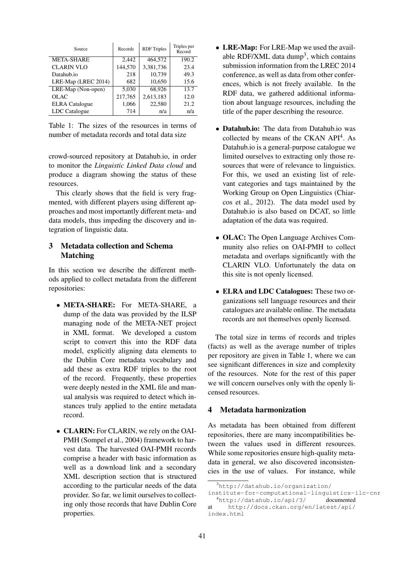| Source                | Records | <b>RDF</b> Triples | Triples per<br>Record |
|-----------------------|---------|--------------------|-----------------------|
| <b>META-SHARE</b>     | 2.442   | 464,572            | 190.2                 |
| <b>CLARIN VLO</b>     | 144,570 | 3,381,736          | 23.4                  |
| Datahub.io            | 218     | 10,739             | 49.3                  |
| LRE-Map (LREC 2014)   | 682     | 10,650             | 15.6                  |
| LRE-Map (Non-open)    | 5,030   | 68,926             | 13.7                  |
| OLAC                  | 217,765 | 2,613,183          | 12.0                  |
| <b>ELRA</b> Catalogue | 1,066   | 22,580             | 21.2                  |
| LDC Catalogue         | 714     | n/a                | n/a                   |

Table  $1$ <sup>.</sup> The sizes of the resources in terms of number of metadata records and total data size

crowd-sourced repository at Datahub.io, in order to monitor the *Linguistic Linked Data cloud* and produce a diagram showing the status of these resources.

This clearly shows that the field is very fragmented, with different players using different approaches and most importantly different meta- and data models, thus impeding the discovery and integration of linguistic data.

## 3 Metadata collection and Schema Matching

In this section we describe the different methods applied to collect metadata from the different repositories:

- META-SHARE: For META-SHARE, a dump of the data was provided by the ILSP managing node of the META-NET project in XML format. We developed a custom script to convert this into the RDF data model, explicitly aligning data elements to the Dublin Core metadata vocabulary and add these as extra RDF triples to the root of the record. Frequently, these properties were deeply nested in the XML file and manual analysis was required to detect which instances truly applied to the entire metadata record.
- **CLARIN:** For CLARIN, we rely on the OAI-PMH (Sompel et al., 2004) framework to harvest data. The harvested OAI-PMH records comprise a header with basic information as well as a download link and a secondary XML description section that is structured according to the particular needs of the data provider. So far, we limit ourselves to collecting only those records that have Dublin Core properties.
- LRE-Map: For LRE-Map we used the available RDF/XML data dump<sup>3</sup>, which contains submission information from the LREC 2014 conference, as well as data from other conferences, which is not freely available. In the RDF data, we gathered additional information about language resources, including the title of the paper describing the resource.
- Datahub.io: The data from Datahub.io was collected by means of the CKAN API<sup>4</sup>. As Datahub.io is a general-purpose catalogue we limited ourselves to extracting only those resources that were of relevance to linguistics. For this, we used an existing list of relevant categories and tags maintained by the Working Group on Open Linguistics (Chiarcos et al., 2012). The data model used by Datahub.io is also based on DCAT, so little adaptation of the data was required.
- OLAC: The Open Language Archives Community also relies on OAI-PMH to collect metadata and overlaps significantly with the CLARIN VLO. Unfortunately the data on this site is not openly licensed.
- ELRA and LDC Catalogues: These two organizations sell language resources and their catalogues are available online. The metadata records are not themselves openly licensed.

The total size in terms of records and triples (facts) as well as the average number of triples per repository are given in Table 1, where we can see significant differences in size and complexity of the resources. Note for the rest of this paper we will concern ourselves only with the openly licensed resources.

## 4 Metadata harmonization

As metadata has been obtained from different repositories, there are many incompatibilities between the values used in different resources. While some repositories ensure high-quality metadata in general, we also discovered inconsistencies in the use of values. For instance, while

 $3$ http://datahub.io/organization/

institute-for-computational-linguistics-ilc-cnr <sup>4</sup>http://datahub.io/api/3/ documented

at http://docs.ckan.org/en/latest/api/ index.html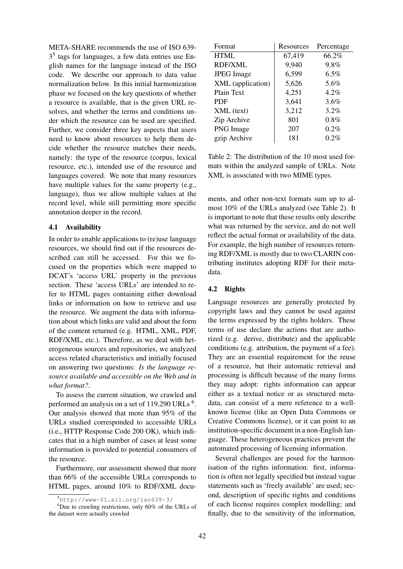META-SHARE recommends the use of ISO 639-  $3<sup>5</sup>$  tags for languages, a few data entries use English names for the language instead of the ISO code. We describe our approach to data value normalization below. In this initial harmonization phase we focused on the key questions of whether a resource is available, that is the given URL resolves, and whether the terms and conditions under which the resource can be used are specified. Further, we consider three key aspects that users need to know about resources to help them decide whether the resource matches their needs, namely: the type of the resource (corpus, lexical resource, etc.), intended use of the resource and languages covered. We note that many resources have multiple values for the same property (e.g., language), thus we allow multiple values at the record level, while still permitting more specific annotation deeper in the record.

### 4.1 Availability

In order to enable applications to (re)use language resources, we should find out if the resources described can still be accessed. For this we focused on the properties which were mapped to DCAT's 'access URL' property in the previous section. These 'access URLs' are intended to refer to HTML pages containing either download links or information on how to retrieve and use the resource. We augment the data with information about which links are valid and about the form of the content returned (e.g. HTML, XML, PDF, RDF/XML, etc.). Therefore, as we deal with heterogeneous sources and repositories, we analyzed access related characteristics and initially focused on answering two questions: *Is the language resource available and accessible on the Web and in what format?*.

To assess the current situation, we crawled and performed an analysis on a set of  $119,290$  URLs  $^6$ . Our analysis showed that more than 95% of the URLs studied corresponded to accessible URLs (i.e., HTTP Response Code 200 OK), which indicates that in a high number of cases at least some information is provided to potential consumers of the resource.

Furthermore, our assessment showed that more than 66% of the accessible URLs corresponds to HTML pages, around 10% to RDF/XML docu-

| Format            | Resources | Percentage |
|-------------------|-----------|------------|
| <b>HTML</b>       | 67,419    | 66.2%      |
| <b>RDF/XML</b>    | 9,940     | 9.8%       |
| <b>JPEG</b> Image | 6,599     | $6.5\%$    |
| XML (application) | 5,626     | 5.6%       |
| Plain Text        | 4,251     | 4.2%       |
| <b>PDF</b>        | 3,641     | $3.6\%$    |
| XML (text)        | 3,212     | 3.2%       |
| Zip Archive       | 801       | 0.8%       |
| PNG Image         | 207       | 0.2%       |
| gzip Archive      | 181       | 0.2%       |

Table 2: The distribution of the 10 most used formats within the analyzed sample of URLs. Note XML is associated with two MIME types.

ments, and other non-text formats sum up to almost 10% of the URLs analyzed (see Table 2). It is important to note that these results only describe what was returned by the service, and do not well reflect the actual format or availability of the data. For example, the high number of resources returning RDF/XML is mostly due to two CLARIN contributing institutes adopting RDF for their metadata.

## 4.2 Rights

Language resources are generally protected by copyright laws and they cannot be used against the terms expressed by the rights holders. These terms of use declare the actions that are authorized (e.g. derive, distribute) and the applicable conditions (e.g. attribution, the payment of a fee). They are an essential requirement for the reuse of a resource, but their automatic retrieval and processing is difficult because of the many forms they may adopt: rights information can appear either as a textual notice or as structured metadata, can consist of a mere reference to a wellknown license (like an Open Data Commons or Creative Commons license), or it can point to an institution-specific document in a non-English language. These heterogeneous practices prevent the automated processing of licensing information.

Several challenges are posed for the harmonisation of the rights information: first, information is often not legally specified but instead vague statements such as 'freely available' are used; second, description of specific rights and conditions of each license requires complex modelling; and finally, due to the sensitivity of the information,

<sup>5</sup>http://www-01.sil.org/iso639-3/

 ${}^{6}$ Due to crawling restrictions, only 60% of the URLs of the dataset were actually crawled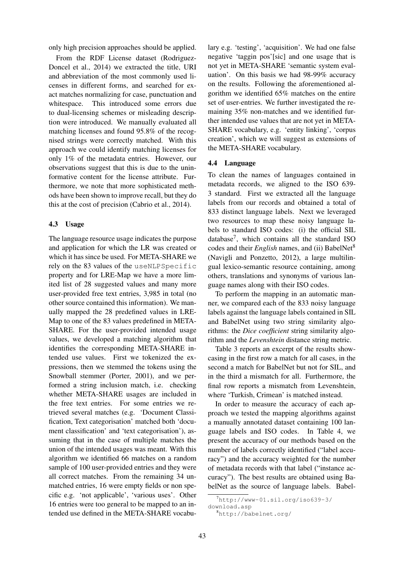only high precision approaches should be applied.

From the RDF License dataset (Rodriguez-Doncel et al., 2014) we extracted the title, URI and abbreviation of the most commonly used licenses in different forms, and searched for exact matches normalizing for case, punctuation and whitespace. This introduced some errors due to dual-licensing schemes or misleading description were introduced. We manually evaluated all matching licenses and found 95.8% of the recognised strings were correctly matched. With this approach we could identify matching licenses for only 1% of the metadata entries. However, our observations suggest that this is due to the uninformative content for the license attribute. Furthermore, we note that more sophisticated methods have been shown to improve recall, but they do this at the cost of precision (Cabrio et al., 2014).

#### 4.3 Usage

The language resource usage indicates the purpose and application for which the LR was created or which it has since be used. For META-SHARE we rely on the 83 values of the useNLPSpecific property and for LRE-Map we have a more limited list of 28 suggested values and many more user-provided free text entries, 3,985 in total (no other source contained this information). We manually mapped the 28 predefined values in LRE-Map to one of the 83 values predefined in META-SHARE. For the user-provided intended usage values, we developed a matching algorithm that identifies the corresponding META-SHARE intended use values. First we tokenized the expressions, then we stemmed the tokens using the Snowball stemmer (Porter, 2001), and we performed a string inclusion match, i.e. checking whether META-SHARE usages are included in the free text entries. For some entries we retrieved several matches (e.g. 'Document Classification, Text categorisation' matched both 'document classification' and 'text categorisation'), assuming that in the case of multiple matches the union of the intended usages was meant. With this algorithm we identified 66 matches on a random sample of 100 user-provided entries and they were all correct matches. From the remaining 34 unmatched entries, 16 were empty fields or non specific e.g. 'not applicable', 'various uses'. Other 16 entries were too general to be mapped to an intended use defined in the META-SHARE vocabu-

lary e.g. 'testing', 'acquisition'. We had one false negative 'taggin pos'[sic] and one usage that is not yet in META-SHARE 'semantic system evaluation'. On this basis we had 98-99% accuracy on the results. Following the aforementioned algorithm we identified 65% matches on the entire set of user-entries. We further investigated the remaining 35% non-matches and we identified further intended use values that are not yet in META-SHARE vocabulary, e.g. 'entity linking', 'corpus creation', which we will suggest as extensions of the META-SHARE vocabulary.

### 4.4 Language

To clean the names of languages contained in metadata records, we aligned to the ISO 639- 3 standard. First we extracted all the language labels from our records and obtained a total of 833 distinct language labels. Next we leveraged two resources to map these noisy language labels to standard ISO codes: (i) the official SIL database<sup>7</sup> , which contains all the standard ISO codes and their *English* names, and (ii) BabelNet<sup>8</sup> (Navigli and Ponzetto, 2012), a large multilingual lexico-semantic resource containing, among others, translations and synonyms of various language names along with their ISO codes.

To perform the mapping in an automatic manner, we compared each of the 833 noisy language labels against the language labels contained in SIL and BabelNet using two string similarity algorithms: the *Dice coefficient* string similarity algorithm and the *Levenshtein* distance string metric.

Table 3 reports an excerpt of the results showcasing in the first row a match for all cases, in the second a match for BabelNet but not for SIL, and in the third a mismatch for all. Furthermore, the final row reports a mismatch from Levenshtein, where 'Turkish, Crimean' is matched instead.

In order to measure the accuracy of each approach we tested the mapping algorithms against a manually annotated dataset containing 100 language labels and ISO codes. In Table 4, we present the accuracy of our methods based on the number of labels correctly identified ("label accuracy") and the accuracy weighted for the number of metadata records with that label ("instance accuracy"). The best results are obtained using BabelNet as the source of language labels. Babel-

 $7$ http://www-01.sil.org/iso639-3/

download.asp

<sup>8</sup>http://babelnet.org/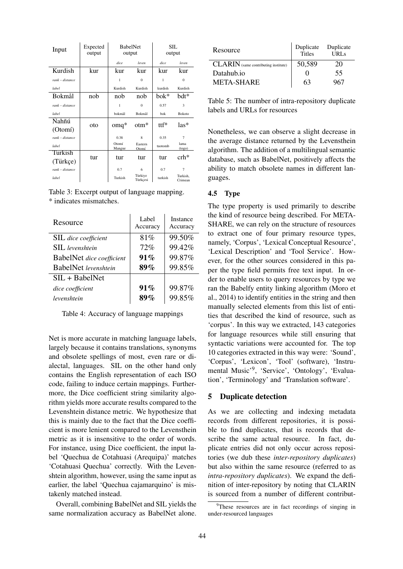| Input             | Expected<br>output | <b>BabelNet</b><br>output |                     | SIL.<br>output |                     |  |
|-------------------|--------------------|---------------------------|---------------------|----------------|---------------------|--|
|                   |                    | dice                      | leven               | dice           | leven               |  |
| Kurdish           | kur                | kur                       | kur                 | kur            | kur                 |  |
| $rank - distance$ |                    | $\mathbf{1}$              | $\theta$            | 1              | $\theta$            |  |
| label             |                    | Kurdish                   | Kurdish             | kurdish        | Kurdish             |  |
| <b>Bokmål</b>     | nob                | nob                       | nob                 | bok*           | bdt*                |  |
| $rank - distance$ |                    | 1                         | $\Omega$            | 0.57           | 3                   |  |
| label             |                    | bokmål                    | Bokmål              | bok            | <b>Bokoto</b>       |  |
| Nahñú             | oto                | $omq^*$                   | $otm*$              | ttf*           | las*                |  |
| (Otom)            |                    |                           |                     |                |                     |  |
| $rank - distance$ |                    | 0.38                      | $\mathbf{8}$        | 0.35           | $\overline{7}$      |  |
| label             |                    | Otomí<br>Mangue           | Eastern<br>Otomí    | tuotomb        | lama<br>(togo)      |  |
| Turkish           | tur                | tur                       | tur                 | tur            | $crh*$              |  |
| (Türkçe)          |                    |                           |                     |                |                     |  |
| rank - distance   |                    | 0.7                       | 6                   | 0.7            | $\overline{7}$      |  |
| label             |                    | Turkish                   | Türkiye<br>Türkçesi | turkish        | Turkish.<br>Crimean |  |

Table 3: Excerpt output of language mapping. \* indicates mismatches.

| Resource                         | Label<br>Accuracy | Instance<br>Accuracy |
|----------------------------------|-------------------|----------------------|
| <b>SIL</b> dice coefficient      | 81\%              | 99.50%               |
| <b>SIL</b> levenshtein           | 72%               | 99.42%               |
| <b>BabelNet</b> dice coefficient | 91%               | 99.87%               |
| <b>BabelNet</b> levenshtein      | $89\%$            | 99.85%               |
| $SIL + BabelNet$                 |                   |                      |
| dice coefficient                 | $91\%$            | 99.87%               |
| levenshtein                      | $89\%$            | 99.85%               |

Table 4: Accuracy of language mappings

Net is more accurate in matching language labels, largely because it contains translations, synonyms and obsolete spellings of most, even rare or dialectal, languages. SIL on the other hand only contains the English representation of each ISO code, failing to induce certain mappings. Furthermore, the Dice coefficient string similarity algorithm yields more accurate results compared to the Levenshtein distance metric. We hypothesize that this is mainly due to the fact that the Dice coefficient is more lenient compared to the Levensthein metric as it is insensitive to the order of words. For instance, using Dice coefficient, the input label 'Quechua de Cotahuasi (Arequipa)' matches 'Cotahuasi Quechua' correctly. With the Levenshtein algorithm, however, using the same input as earlier, the label 'Quechua cajamarquino' is mistakenly matched instead.

Overall, combining BabelNet and SIL yields the same normalization accuracy as BabelNet alone.

| Resource                                    | Duplicate<br>Titles | Duplicate<br>URL <sub>S</sub> |  |
|---------------------------------------------|---------------------|-------------------------------|--|
| <b>CLARIN</b> (same contributing institute) | 50,589              | 20                            |  |
| Datahub.io                                  |                     | 55                            |  |
| <b>META-SHARE</b>                           | 63                  | 967                           |  |

Table 5: The number of intra-repository duplicate labels and URLs for resources

Nonetheless, we can observe a slight decrease in the average distance returned by the Levensthein algorithm. The addition of a multilingual semantic database, such as BabelNet, positively affects the ability to match obsolete names in different languages.

### 4.5 Type

The type property is used primarily to describe the kind of resource being described. For META-SHARE, we can rely on the structure of resources to extract one of four primary resource types, namely, 'Corpus', 'Lexical Conceptual Resource', 'Lexical Description' and 'Tool Service'. However, for the other sources considered in this paper the type field permits free text input. In order to enable users to query resources by type we ran the Babelfy entity linking algorithm (Moro et al., 2014) to identify entities in the string and then manually selected elements from this list of entities that described the kind of resource, such as 'corpus'. In this way we extracted, 143 categories for language resources while still ensuring that syntactic variations were accounted for. The top 10 categories extracted in this way were: 'Sound', 'Corpus', 'Lexicon', 'Tool' (software), 'Instrumental Music'<sup>9</sup> , 'Service', 'Ontology', 'Evaluation', 'Terminology' and 'Translation software'.

## 5 Duplicate detection

As we are collecting and indexing metadata records from different repositories, it is possible to find duplicates, that is records that describe the same actual resource. In fact, duplicate entries did not only occur across repositories (we dub these *inter-repository duplicates*) but also within the same resource (referred to as *intra-repository duplicates*). We expand the definition of inter-repository by noting that CLARIN is sourced from a number of different contribut-

<sup>&</sup>lt;sup>9</sup>These resources are in fact recordings of singing in under-resourced languages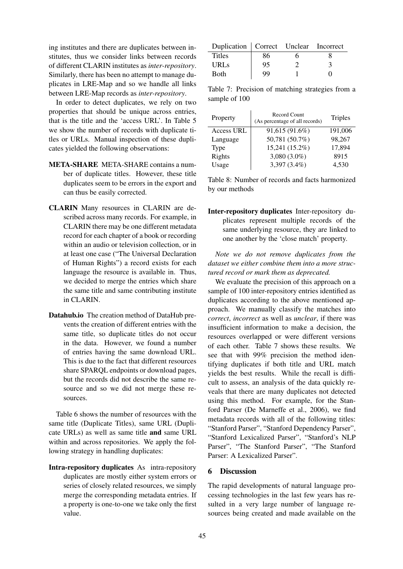ing institutes and there are duplicates between institutes, thus we consider links between records of different CLARIN institutes as *inter-repository*. Similarly, there has been no attempt to manage duplicates in LRE-Map and so we handle all links between LRE-Map records as *inter-repository*.

In order to detect duplicates, we rely on two properties that should be unique across entries, that is the title and the 'access URL'. In Table 5 we show the number of records with duplicate titles or URLs. Manual inspection of these duplicates yielded the following observations:

- META-SHARE META-SHARE contains a number of duplicate titles. However, these title duplicates seem to be errors in the export and can thus be easily corrected.
- CLARIN Many resources in CLARIN are described across many records. For example, in CLARIN there may be one different metadata record for each chapter of a book or recording within an audio or television collection, or in at least one case ("The Universal Declaration of Human Rights") a record exists for each language the resource is available in. Thus, we decided to merge the entries which share the same title and same contributing institute in CLARIN.
- Datahub.io The creation method of DataHub prevents the creation of different entries with the same title, so duplicate titles do not occur in the data. However, we found a number of entries having the same download URL. This is due to the fact that different resources share SPARQL endpoints or download pages, but the records did not describe the same resource and so we did not merge these resources.

Table 6 shows the number of resources with the same title (Duplicate Titles), same URL (Duplicate URLs) as well as same title and same URL within and across repositories. We apply the following strategy in handling duplicates:

Intra-repository duplicates As intra-repository duplicates are mostly either system errors or series of closely related resources, we simply merge the corresponding metadata entries. If a property is one-to-one we take only the first value.

| Duplication   Correct Unclear Incorrect |    |  |
|-----------------------------------------|----|--|
| <b>Titles</b>                           | 86 |  |
| <b>URLs</b>                             | 95 |  |
| Both                                    | QQ |  |

Table 7: Precision of matching strategies from a sample of 100

| Property          | Record Count<br>(As percentage of all records) | <b>Triples</b> |
|-------------------|------------------------------------------------|----------------|
| <b>Access URL</b> | 91,615 (91.6%)                                 | 191,006        |
| Language          | 50,781 (50.7%)                                 | 98,267         |
| Type              | 15,241 (15.2%)                                 | 17,894         |
| Rights            | 3,080 (3.0%)                                   | 8915           |
| Usage             | 3,397 (3.4%)                                   | 4,530          |

Table 8: Number of records and facts harmonized by our methods

Inter-repository duplicates Inter-repository duplicates represent multiple records of the same underlying resource, they are linked to one another by the 'close match' property.

*Note we do not remove duplicates from the dataset we either combine them into a more structured record or mark them as deprecated.*

We evaluate the precision of this approach on a sample of 100 inter-repository entries identified as duplicates according to the above mentioned approach. We manually classify the matches into *correct*, *incorrect* as well as *unclear*, if there was insufficient information to make a decision, the resources overlapped or were different versions of each other. Table 7 shows these results. We see that with 99% precision the method identifying duplicates if both title and URL match yields the best results. While the recall is difficult to assess, an analysis of the data quickly reveals that there are many duplicates not detected using this method. For example, for the Stanford Parser (De Marneffe et al., 2006), we find metadata records with all of the following titles: "Stanford Parser", "Stanford Dependency Parser", "Stanford Lexicalized Parser", "Stanford's NLP Parser", "The Stanford Parser", "The Stanford Parser: A Lexicalized Parser".

## 6 Discussion

The rapid developments of natural language processing technologies in the last few years has resulted in a very large number of language resources being created and made available on the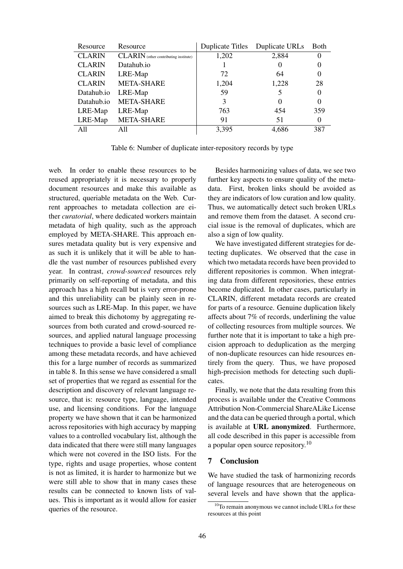| Resource      | Resource                                     | <b>Duplicate Titles</b> | Duplicate URLs | <b>Both</b> |
|---------------|----------------------------------------------|-------------------------|----------------|-------------|
| <b>CLARIN</b> | <b>CLARIN</b> (other contributing institute) | 1,202                   | 2,884          |             |
| <b>CLARIN</b> | Datahub.io                                   |                         |                |             |
| <b>CLARIN</b> | LRE-Map                                      | 72                      | 64             |             |
| <b>CLARIN</b> | <b>META-SHARE</b>                            | 1,204                   | 1,228          | 28          |
| Datahub.io    | LRE-Map                                      | 59                      |                |             |
| Datahub.io    | <b>META-SHARE</b>                            | 3                       | $\theta$       |             |
| LRE-Map       | LRE-Map                                      | 763                     | 454            | 359         |
| LRE-Map       | <b>META-SHARE</b>                            | 91                      | 51             |             |
| All           | A11                                          | 3,395                   | 4,686          | 387         |

Table 6: Number of duplicate inter-repository records by type

web. In order to enable these resources to be reused appropriately it is necessary to properly document resources and make this available as structured, queriable metadata on the Web. Current approaches to metadata collection are either *curatorial*, where dedicated workers maintain metadata of high quality, such as the approach employed by META-SHARE. This approach ensures metadata quality but is very expensive and as such it is unlikely that it will be able to handle the vast number of resources published every year. In contrast, *crowd-sourced* resources rely primarily on self-reporting of metadata, and this approach has a high recall but is very error-prone and this unreliability can be plainly seen in resources such as LRE-Map. In this paper, we have aimed to break this dichotomy by aggregating resources from both curated and crowd-sourced resources, and applied natural language processing techniques to provide a basic level of compliance among these metadata records, and have achieved this for a large number of records as summarized in table 8. In this sense we have considered a small set of properties that we regard as essential for the description and discovery of relevant language resource, that is: resource type, language, intended use, and licensing conditions. For the language property we have shown that it can be harmonized across repositories with high accuracy by mapping values to a controlled vocabulary list, although the data indicated that there were still many languages which were not covered in the ISO lists. For the type, rights and usage properties, whose content is not as limited, it is harder to harmonize but we were still able to show that in many cases these results can be connected to known lists of values. This is important as it would allow for easier queries of the resource.

Besides harmonizing values of data, we see two further key aspects to ensure quality of the metadata. First, broken links should be avoided as they are indicators of low curation and low quality. Thus, we automatically detect such broken URLs and remove them from the dataset. A second crucial issue is the removal of duplicates, which are also a sign of low quality.

We have investigated different strategies for detecting duplicates. We observed that the case in which two metadata records have been provided to different repositories is common. When integrating data from different repositories, these entries become duplicated. In other cases, particularly in CLARIN, different metadata records are created for parts of a resource. Genuine duplication likely affects about 7% of records, underlining the value of collecting resources from multiple sources. We further note that it is important to take a high precision approach to deduplication as the merging of non-duplicate resources can hide resources entirely from the query. Thus, we have proposed high-precision methods for detecting such duplicates.

Finally, we note that the data resulting from this process is available under the Creative Commons Attribution Non-Commercial ShareALike License and the data can be queried through a portal, which is available at URL anonymized. Furthermore, all code described in this paper is accessible from a popular open source repository.<sup>10</sup>

### 7 Conclusion

We have studied the task of harmonizing records of language resources that are heterogeneous on several levels and have shown that the applica-

 $10$ To remain anonymous we cannot include URLs for these resources at this point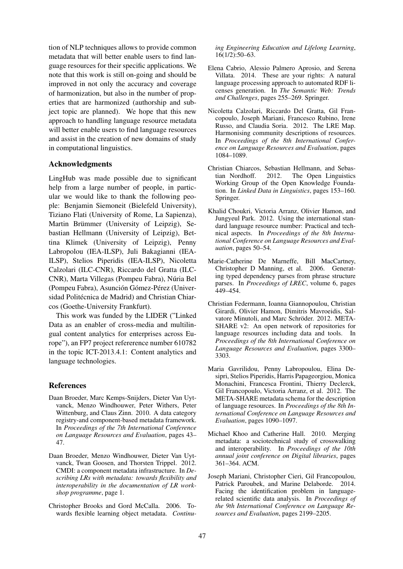tion of NLP techniques allows to provide common metadata that will better enable users to find language resources for their specific applications. We note that this work is still on-going and should be improved in not only the accuracy and coverage of harmonization, but also in the number of properties that are harmonized (authorship and subject topic are planned). We hope that this new approach to handling language resource metadata will better enable users to find language resources and assist in the creation of new domains of study in computational linguistics.

### Acknowledgments

LingHub was made possible due to significant help from a large number of people, in particular we would like to thank the following people: Benjamin Siemoneit (Bielefeld University), Tiziano Flati (University of Rome, La Sapienza), Martin Brümmer (University of Leipzig), Sebastian Hellmann (University of Leipzig), Bettina Klimek (University of Leipzig), Penny Labropolou (IEA-ILSP), Juli Bakagianni (IEA-ILSP), Stelios Piperidis (IEA-ILSP), Nicoletta Calzolari (ILC-CNR), Riccardo del Gratta (ILC-CNR), Marta Villegas (Pompeu Fabra), Núria Bel (Pompeu Fabra), Asunción Gómez-Pérez (Universidad Politécnica de Madrid) and Christian Chiarcos (Goethe-University Frankfurt).

This work was funded by the LIDER ("Linked Data as an enabler of cross-media and multilingual content analytics for enterprises across Europe"), an FP7 project refererence number 610782 in the topic ICT-2013.4.1: Content analytics and language technologies.

### **References**

- Daan Broeder, Marc Kemps-Snijders, Dieter Van Uytvanck, Menzo Windhouwer, Peter Withers, Peter Wittenburg, and Claus Zinn. 2010. A data category registry-and component-based metadata framework. In *Proceedings of the 7th International Conference on Language Resources and Evaluation*, pages 43– 47.
- Daan Broeder, Menzo Windhouwer, Dieter Van Uytvanck, Twan Goosen, and Thorsten Trippel. 2012. CMDI: a component metadata infrastructure. In *Describing LRs with metadata: towards flexibility and interoperability in the documentation of LR workshop programme*, page 1.
- Christopher Brooks and Gord McCalla. 2006. Towards flexible learning object metadata. *Continu-*

*ing Engineering Education and Lifelong Learning*, 16(1/2):50–63.

- Elena Cabrio, Alessio Palmero Aprosio, and Serena Villata. 2014. These are your rights: A natural language processing approach to automated RDF licenses generation. In *The Semantic Web: Trends and Challenges*, pages 255–269. Springer.
- Nicoletta Calzolari, Riccardo Del Gratta, Gil Francopoulo, Joseph Mariani, Francesco Rubino, Irene Russo, and Claudia Soria. 2012. The LRE Map. Harmonising community descriptions of resources. In *Proceedings of the 8th International Conference on Language Resources and Evaluation*, pages 1084–1089.
- Christian Chiarcos, Sebastian Hellmann, and Sebastian Nordhoff. 2012. The Open Linguistics Working Group of the Open Knowledge Foundation. In *Linked Data in Linguistics*, pages 153–160. Springer.
- Khalid Choukri, Victoria Arranz, Olivier Hamon, and Jungyeul Park. 2012. Using the international standard language resource number: Practical and technical aspects. In *Proceedings of the 8th International Conference on Language Resources and Evaluation*, pages 50–54.
- Marie-Catherine De Marneffe, Bill MacCartney, Christopher D Manning, et al. 2006. Generating typed dependency parses from phrase structure parses. In *Proceedings of LREC*, volume 6, pages 449–454.
- Christian Federmann, Ioanna Giannopoulou, Christian Girardi, Olivier Hamon, Dimitris Mavroeidis, Salvatore Minutoli, and Marc Schröder. 2012. META-SHARE v2: An open network of repositories for language resources including data and tools. In *Proceedings of the 8th International Conference on Language Resources and Evaluation*, pages 3300– 3303.
- Maria Gavrilidou, Penny Labropoulou, Elina Desipri, Stelios Piperidis, Harris Papageorgiou, Monica Monachini, Francesca Frontini, Thierry Declerck, Gil Francopoulo, Victoria Arranz, et al. 2012. The META-SHARE metadata schema for the description of language resources. In *Proceedings of the 8th International Conference on Language Resources and Evaluation*, pages 1090–1097.
- Michael Khoo and Catherine Hall. 2010. Merging metadata: a sociotechnical study of crosswalking and interoperability. In *Proceedings of the 10th annual joint conference on Digital libraries*, pages 361–364. ACM.
- Joseph Mariani, Christopher Cieri, Gil Francopoulou, Patrick Paroubek, and Marine Delaborde. 2014. Facing the identification problem in languagerelated scientific data analysis. In *Proceedings of the 9th International Conference on Language Resources and Evaluation*, pages 2199–2205.